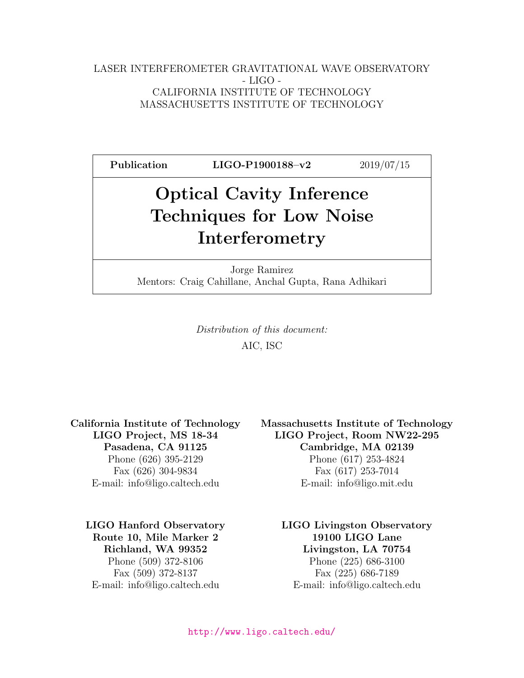#### LASER INTERFEROMETER GRAVITATIONAL WAVE OBSERVATORY - LIGO - CALIFORNIA INSTITUTE OF TECHNOLOGY MASSACHUSETTS INSTITUTE OF TECHNOLOGY

Publication LIGO-P1900188-v2 2019/07/15 Optical Cavity Inference

# Techniques for Low Noise Interferometry

Jorge Ramirez Mentors: Craig Cahillane, Anchal Gupta, Rana Adhikari

> Distribution of this document: AIC, ISC

Route 10, Mile Marker 2 19100 LIGO Lane

California Institute of Technology Massachusetts Institute of Technology LIGO Project, MS 18-34 LIGO Project, Room NW22-295 Pasadena, CA 91125 Cambridge, MA 02139 Phone (626) 395-2129 Phone (617) 253-4824 Fax (626) 304-9834 Fax (617) 253-7014 E-mail: info@ligo.caltech.edu E-mail: info@ligo.mit.edu

LIGO Hanford Observatory LIGO Livingston Observatory Richland, WA 99352 Livingston, LA 70754 Phone (509) 372-8106 Phone (225) 686-3100 Fax (509) 372-8137 Fax (225) 686-7189 E-mail: info@ligo.caltech.edu E-mail: info@ligo.caltech.edu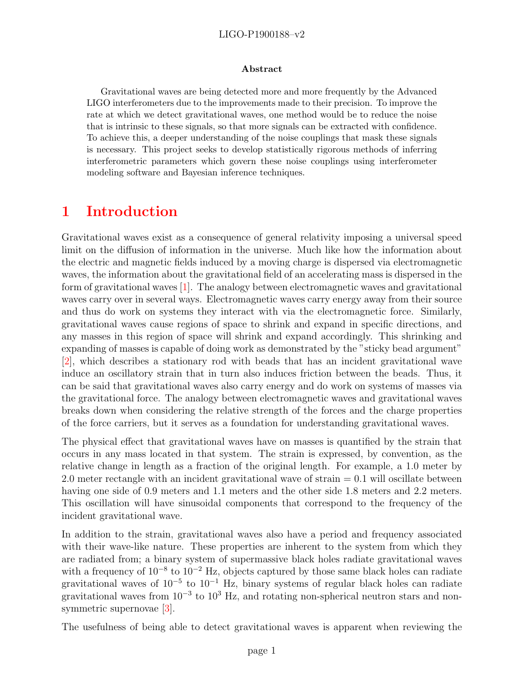#### LIGO-P1900188–v2

#### Abstract

Gravitational waves are being detected more and more frequently by the Advanced LIGO interferometers due to the improvements made to their precision. To improve the rate at which we detect gravitational waves, one method would be to reduce the noise that is intrinsic to these signals, so that more signals can be extracted with confidence. To achieve this, a deeper understanding of the noise couplings that mask these signals is necessary. This project seeks to develop statistically rigorous methods of inferring interferometric parameters which govern these noise couplings using interferometer modeling software and Bayesian inference techniques.

### 1 Introduction

Gravitational waves exist as a consequence of general relativity imposing a universal speed limit on the diffusion of information in the universe. Much like how the information about the electric and magnetic fields induced by a moving charge is dispersed via electromagnetic waves, the information about the gravitational field of an accelerating mass is dispersed in the form of gravitational waves [\[1\]](#page-4-0). The analogy between electromagnetic waves and gravitational waves carry over in several ways. Electromagnetic waves carry energy away from their source and thus do work on systems they interact with via the electromagnetic force. Similarly, gravitational waves cause regions of space to shrink and expand in specific directions, and any masses in this region of space will shrink and expand accordingly. This shrinking and expanding of masses is capable of doing work as demonstrated by the "sticky bead argument" [\[2\]](#page-4-1), which describes a stationary rod with beads that has an incident gravitational wave induce an oscillatory strain that in turn also induces friction between the beads. Thus, it can be said that gravitational waves also carry energy and do work on systems of masses via the gravitational force. The analogy between electromagnetic waves and gravitational waves breaks down when considering the relative strength of the forces and the charge properties of the force carriers, but it serves as a foundation for understanding gravitational waves.

The physical effect that gravitational waves have on masses is quantified by the strain that occurs in any mass located in that system. The strain is expressed, by convention, as the relative change in length as a fraction of the original length. For example, a 1.0 meter by 2.0 meter rectangle with an incident gravitational wave of strain  $= 0.1$  will oscillate between having one side of 0.9 meters and 1.1 meters and the other side 1.8 meters and 2.2 meters. This oscillation will have sinusoidal components that correspond to the frequency of the incident gravitational wave.

In addition to the strain, gravitational waves also have a period and frequency associated with their wave-like nature. These properties are inherent to the system from which they are radiated from; a binary system of supermassive black holes radiate gravitational waves with a frequency of  $10^{-8}$  to  $10^{-2}$  Hz, objects captured by those same black holes can radiate gravitational waves of  $10^{-5}$  to  $10^{-1}$  Hz, binary systems of regular black holes can radiate gravitational waves from 10<sup>-3</sup> to 10<sup>3</sup> Hz, and rotating non-spherical neutron stars and nonsymmetric supernovae [\[3\]](#page-4-2).

The usefulness of being able to detect gravitational waves is apparent when reviewing the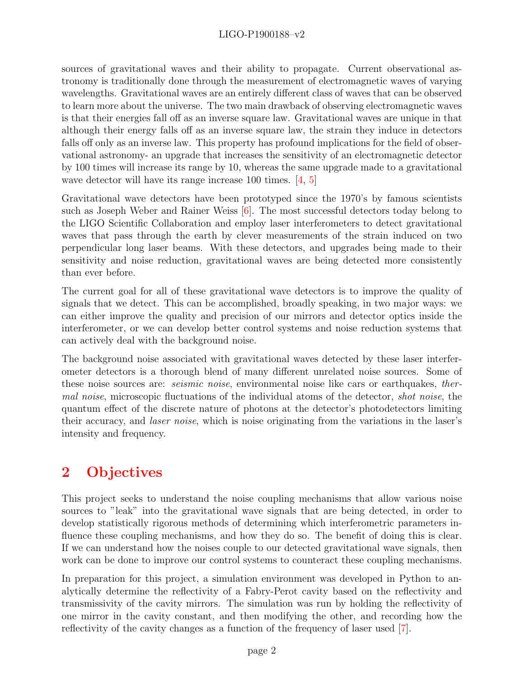### LIGO-P1900188–v2

sources of gravitational waves and their ability to propagate. Current observational astronomy is traditionally done through the measurement of electromagnetic waves of varying wavelengths. Gravitational waves are an entirely different class of waves that can be observed to learn more about the universe. The two main drawback of observing electromagnetic waves is that their energies fall off as an inverse square law. Gravitational waves are unique in that although their energy falls off as an inverse square law, the strain they induce in detectors falls off only as an inverse law. This property has profound implications for the field of observational astronomy- an upgrade that increases the sensitivity of an electromagnetic detector by 100 times will increase its range by 10, whereas the same upgrade made to a gravitational wave detector will have its range increase 100 times. [\[4,](#page-4-3) [5\]](#page-5-0)

Gravitational wave detectors have been prototyped since the 1970's by famous scientists such as Joseph Weber and Rainer Weiss [\[6\]](#page-5-1). The most successful detectors today belong to the LIGO Scientific Collaboration and employ laser interferometers to detect gravitational waves that pass through the earth by clever measurements of the strain induced on two perpendicular long laser beams. With these detectors, and upgrades being made to their sensitivity and noise reduction, gravitational waves are being detected more consistently than ever before.

The current goal for all of these gravitational wave detectors is to improve the quality of signals that we detect. This can be accomplished, broadly speaking, in two major ways: we can either improve the quality and precision of our mirrors and detector optics inside the interferometer, or we can develop better control systems and noise reduction systems that can actively deal with the background noise.

The background noise associated with gravitational waves detected by these laser interferometer detectors is a thorough blend of many different unrelated noise sources. Some of these noise sources are: seismic noise, environmental noise like cars or earthquakes, thermal noise, microscopic fluctuations of the individual atoms of the detector, shot noise, the quantum effect of the discrete nature of photons at the detector's photodetectors limiting their accuracy, and laser noise, which is noise originating from the variations in the laser's intensity and frequency.

# 2 Objectives

This project seeks to understand the noise coupling mechanisms that allow various noise sources to "leak" into the gravitational wave signals that are being detected, in order to develop statistically rigorous methods of determining which interferometric parameters influence these coupling mechanisms, and how they do so. The benefit of doing this is clear. If we can understand how the noises couple to our detected gravitational wave signals, then work can be done to improve our control systems to counteract these coupling mechanisms.

In preparation for this project, a simulation environment was developed in Python to analytically determine the reflectivity of a Fabry-Perot cavity based on the reflectivity and transmissivity of the cavity mirrors. The simulation was run by holding the reflectivity of one mirror in the cavity constant, and then modifying the other, and recording how the reflectivity of the cavity changes as a function of the frequency of laser used [\[7\]](#page-5-2).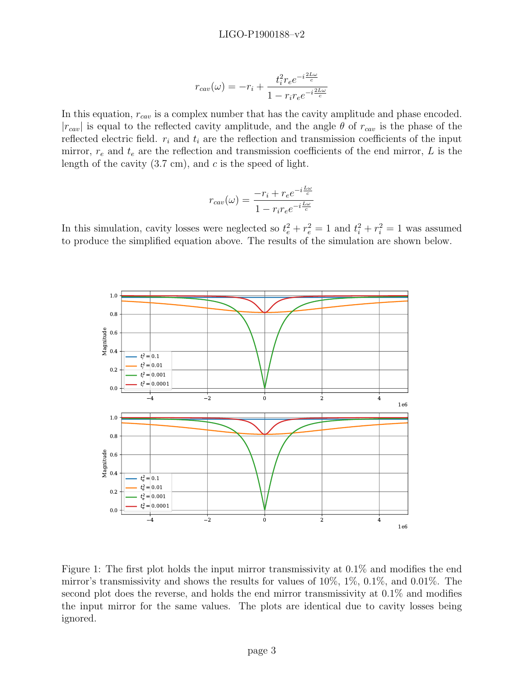$$
r_{cav}(\omega) = -r_i + \frac{t_i^2 r_e e^{-i\frac{2L\omega}{c}}}{1 - r_i r_e e^{-i\frac{2L\omega}{c}}}
$$

In this equation,  $r_{cav}$  is a complex number that has the cavity amplitude and phase encoded.  $|r_{cav}|$  is equal to the reflected cavity amplitude, and the angle  $\theta$  of  $r_{cav}$  is the phase of the reflected electric field.  $r_i$  and  $t_i$  are the reflection and transmission coefficients of the input mirror,  $r_e$  and  $t_e$  are the reflection and transmission coefficients of the end mirror, L is the length of the cavity  $(3.7 \text{ cm})$ , and c is the speed of light.

$$
r_{cav}(\omega) = \frac{-r_i + r_e e^{-i\frac{L\omega}{c}}}{1 - r_i r_e e^{-i\frac{L\omega}{c}}}
$$

In this simulation, cavity losses were neglected so  $t_e^2 + r_e^2 = 1$  and  $t_i^2 + r_i^2 = 1$  was assumed to produce the simplified equation above. The results of the simulation are shown below.



Figure 1: The first plot holds the input mirror transmissivity at 0.1% and modifies the end mirror's transmissivity and shows the results for values of 10%, 1%, 0.1%, and 0.01%. The second plot does the reverse, and holds the end mirror transmissivity at 0.1% and modifies the input mirror for the same values. The plots are identical due to cavity losses being ignored.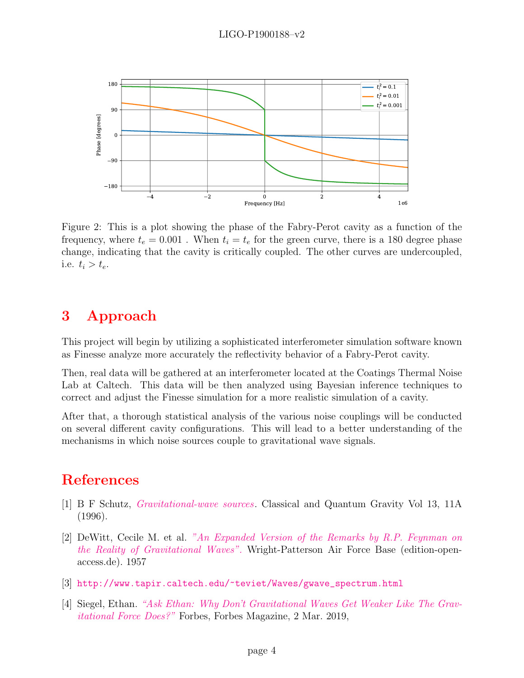

Figure 2: This is a plot showing the phase of the Fabry-Perot cavity as a function of the frequency, where  $t_e = 0.001$ . When  $t_i = t_e$  for the green curve, there is a 180 degree phase change, indicating that the cavity is critically coupled. The other curves are undercoupled, i.e.  $t_i > t_e$ .

## 3 Approach

This project will begin by utilizing a sophisticated interferometer simulation software known as Finesse analyze more accurately the reflectivity behavior of a Fabry-Perot cavity.

Then, real data will be gathered at an interferometer located at the Coatings Thermal Noise Lab at Caltech. This data will be then analyzed using Bayesian inference techniques to correct and adjust the Finesse simulation for a more realistic simulation of a cavity.

After that, a thorough statistical analysis of the various noise couplings will be conducted on several different cavity configurations. This will lead to a better understanding of the mechanisms in which noise sources couple to gravitational wave signals.

## References

- <span id="page-4-0"></span>[1] B F Schutz, [Gravitational-wave sources](https://doi.org/10.1088%2F0264-9381%2F13%2F11a%2F031). Classical and Quantum Gravity Vol 13, 11A (1996).
- <span id="page-4-1"></span>[2] DeWitt, Cecile M. et al. ["An Expanded Version of the Remarks by R.P. Feynman on](http://www.edition-open-sources.org/sources/5/34/index.html) [the Reality of Gravitational Waves".](http://www.edition-open-sources.org/sources/5/34/index.html) Wright-Patterson Air Force Base (edition-openaccess.de). 1957
- <span id="page-4-2"></span>[3] [http://www.tapir.caltech.edu/~teviet/Waves/gwave\\_spectrum.html](http://www.tapir.caltech.edu/~teviet/Waves/gwave_spectrum.html)
- <span id="page-4-3"></span>[4] Siegel, Ethan. ["Ask Ethan: Why Don't Gravitational Waves Get Weaker Like The Grav](http://www.forbes.com/sites/startswithabang/2019/03/02/ask-ethan-why-dont-gravitational-waves-get-weaker-like-the-gravitational-force-does/#d77c0172f580.)[itational Force Does?"](http://www.forbes.com/sites/startswithabang/2019/03/02/ask-ethan-why-dont-gravitational-waves-get-weaker-like-the-gravitational-force-does/#d77c0172f580.) Forbes, Forbes Magazine, 2 Mar. 2019,